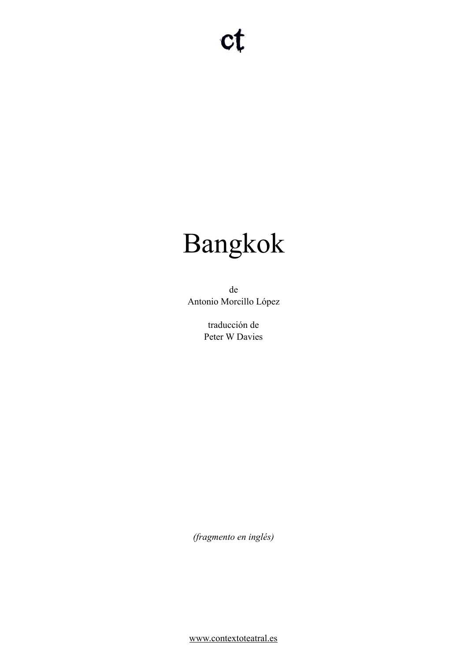# Bangkok

de Antonio Morcillo López

> traducción de Peter W Davies

*(fragmento en inglés)* 

[www.contextoteatral.es](http://www.contextoteatral.es)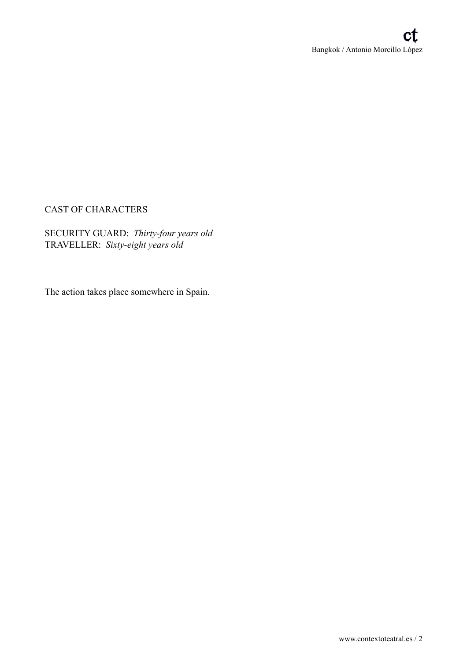# CAST OF CHARACTERS

SECURITY GUARD: *Thirty-four years old*  TRAVELLER: *Sixty-eight years old* 

The action takes place somewhere in Spain.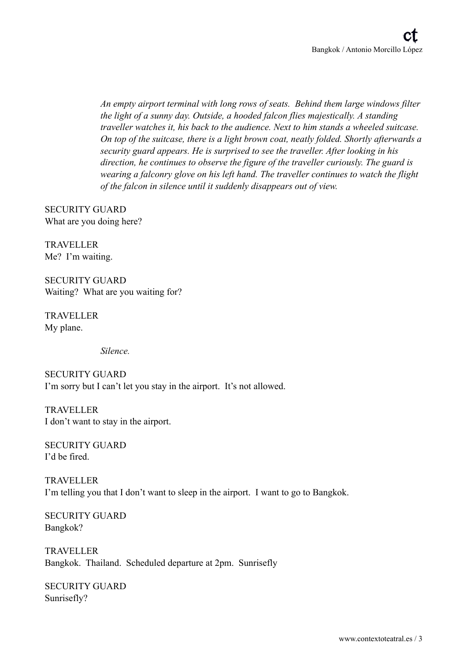*An empty airport terminal with long rows of seats. Behind them large windows filter the light of a sunny day. Outside, a hooded falcon flies majestically. A standing traveller watches it, his back to the audience. Next to him stands a wheeled suitcase. On top of the suitcase, there is a light brown coat, neatly folded. Shortly afterwards a security guard appears. He is surprised to see the traveller. After looking in his direction, he continues to observe the figure of the traveller curiously. The guard is wearing a falconry glove on his left hand. The traveller continues to watch the flight of the falcon in silence until it suddenly disappears out of view.* 

SECURITY GUARD What are you doing here?

TRAVELLER Me? I'm waiting.

SECURITY GUARD Waiting? What are you waiting for?

TRAVELLER My plane.

 *Silence.* 

SECURITY GUARD I'm sorry but I can't let you stay in the airport. It's not allowed.

TRAVELLER I don't want to stay in the airport.

SECURITY GUARD I'd be fired.

TRAVELLER I'm telling you that I don't want to sleep in the airport. I want to go to Bangkok.

SECURITY GUARD Bangkok?

TRAVELLER Bangkok. Thailand. Scheduled departure at 2pm. Sunrisefly

SECURITY GUARD Sunrisefly?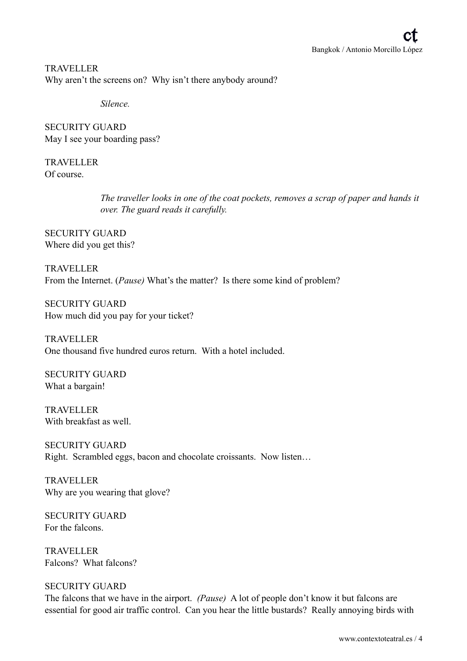TRAVELLER Why aren't the screens on? Why isn't there anybody around?

 *Silence.* 

SECURITY GUARD May I see your boarding pass?

TRAVELLER Of course.

> *The traveller looks in one of the coat pockets, removes a scrap of paper and hands it over. The guard reads it carefully.*

SECURITY GUARD Where did you get this?

TRAVELLER From the Internet. (*Pause)* What's the matter? Is there some kind of problem?

SECURITY GUARD How much did you pay for your ticket?

TRAVELLER One thousand five hundred euros return. With a hotel included.

SECURITY GUARD What a bargain!

TRAVELLER With breakfast as well.

SECURITY GUARD Right. Scrambled eggs, bacon and chocolate croissants. Now listen…

TRAVELLER Why are you wearing that glove?

SECURITY GUARD For the falcons.

TRAVELLER Falcons? What falcons?

## SECURITY GUARD

The falcons that we have in the airport. *(Pause)* A lot of people don't know it but falcons are essential for good air traffic control. Can you hear the little bustards? Really annoying birds with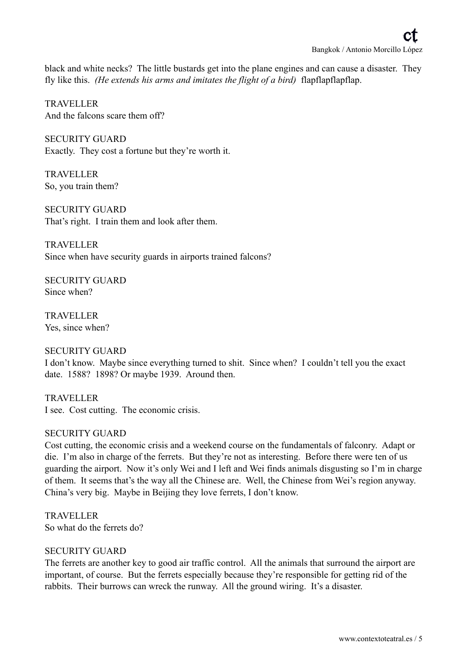black and white necks? The little bustards get into the plane engines and can cause a disaster. They fly like this. *(He extends his arms and imitates the flight of a bird)* flapflapflapflap.

TRAVELLER And the falcons scare them off?

SECURITY GUARD Exactly. They cost a fortune but they're worth it.

TRAVELLER So, you train them?

SECURITY GUARD That's right. I train them and look after them.

TRAVELLER Since when have security guards in airports trained falcons?

SECURITY GUARD Since when?

TRAVELLER Yes, since when?

## SECURITY GUARD

I don't know. Maybe since everything turned to shit. Since when? I couldn't tell you the exact date. 1588? 1898? Or maybe 1939. Around then.

TRAVELLER I see. Cost cutting. The economic crisis.

## SECURITY GUARD

Cost cutting, the economic crisis and a weekend course on the fundamentals of falconry. Adapt or die. I'm also in charge of the ferrets. But they're not as interesting. Before there were ten of us guarding the airport. Now it's only Wei and I left and Wei finds animals disgusting so I'm in charge of them. It seems that's the way all the Chinese are. Well, the Chinese from Wei's region anyway. China's very big. Maybe in Beijing they love ferrets, I don't know.

TRAVELLER So what do the ferrets do?

## SECURITY GUARD

The ferrets are another key to good air traffic control. All the animals that surround the airport are important, of course. But the ferrets especially because they're responsible for getting rid of the rabbits. Their burrows can wreck the runway. All the ground wiring. It's a disaster.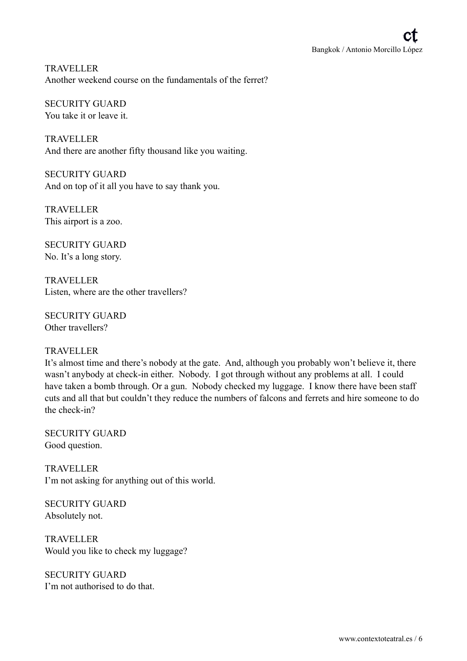TRAVELLER Another weekend course on the fundamentals of the ferret?

SECURITY GUARD You take it or leave it.

TRAVELLER And there are another fifty thousand like you waiting.

SECURITY GUARD And on top of it all you have to say thank you.

TRAVELLER This airport is a zoo.

SECURITY GUARD No. It's a long story.

TRAVELLER Listen, where are the other travellers?

SECURITY GUARD Other travellers?

## TRAVELLER

It's almost time and there's nobody at the gate. And, although you probably won't believe it, there wasn't anybody at check-in either. Nobody. I got through without any problems at all. I could have taken a bomb through. Or a gun. Nobody checked my luggage. I know there have been staff cuts and all that but couldn't they reduce the numbers of falcons and ferrets and hire someone to do the check-in?

SECURITY GUARD Good question.

TRAVELLER I'm not asking for anything out of this world.

SECURITY GUARD Absolutely not.

TRAVELLER Would you like to check my luggage?

SECURITY GUARD I'm not authorised to do that.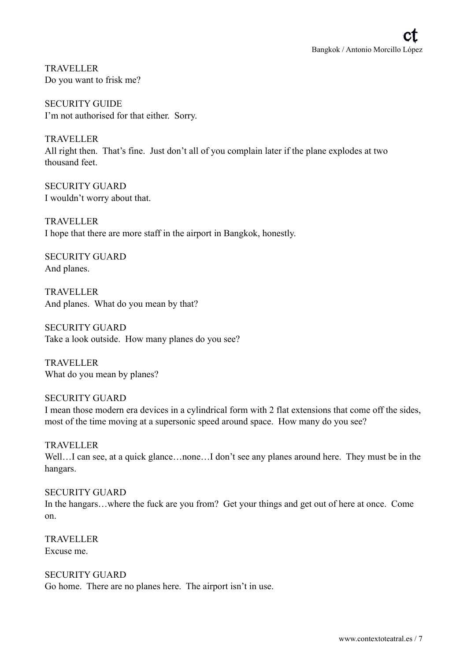TRAVELLER Do you want to frisk me?

SECURITY GUIDE I'm not authorised for that either. Sorry.

TRAVELLER All right then. That's fine. Just don't all of you complain later if the plane explodes at two thousand feet.

SECURITY GUARD I wouldn't worry about that.

TRAVELLER I hope that there are more staff in the airport in Bangkok, honestly.

SECURITY GUARD And planes.

TRAVELLER And planes. What do you mean by that?

SECURITY GUARD Take a look outside. How many planes do you see?

TRAVELLER What do you mean by planes?

SECURITY GUARD I mean those modern era devices in a cylindrical form with 2 flat extensions that come off the sides, most of the time moving at a supersonic speed around space. How many do you see?

TRAVELLER Well...I can see, at a quick glance...none...I don't see any planes around here. They must be in the hangars.

SECURITY GUARD In the hangars...where the fuck are you from? Get your things and get out of here at once. Come on.

TRAVELLER Excuse me.

SECURITY GUARD Go home. There are no planes here. The airport isn't in use.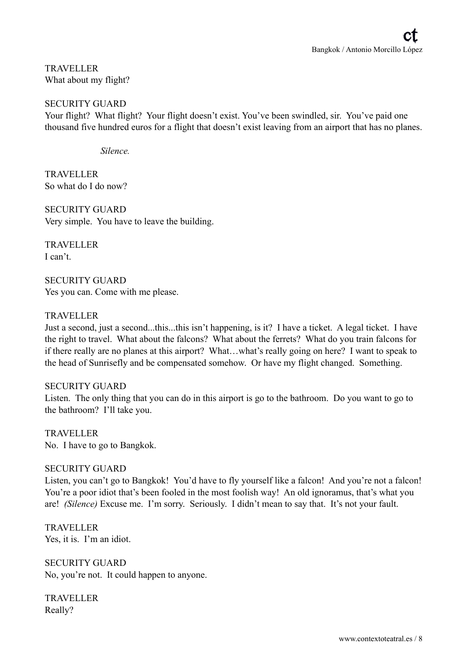TRAVELLER What about my flight?

## SECURITY GUARD

Your flight? What flight? Your flight doesn't exist. You've been swindled, sir. You've paid one thousand five hundred euros for a flight that doesn't exist leaving from an airport that has no planes.

#### *Silence.*

TRAVELLER So what do I do now?

SECURITY GUARD Very simple. You have to leave the building.

TRAVELLER I can't.

SECURITY GUARD Yes you can. Come with me please.

## TRAVELLER

Just a second, just a second...this...this isn't happening, is it? I have a ticket. A legal ticket. I have the right to travel. What about the falcons? What about the ferrets? What do you train falcons for if there really are no planes at this airport? What…what's really going on here? I want to speak to the head of Sunrisefly and be compensated somehow. Or have my flight changed. Something.

## SECURITY GUARD

Listen. The only thing that you can do in this airport is go to the bathroom. Do you want to go to the bathroom? I'll take you.

TRAVELLER No. I have to go to Bangkok.

## SECURITY GUARD

Listen, you can't go to Bangkok! You'd have to fly yourself like a falcon! And you're not a falcon! You're a poor idiot that's been fooled in the most foolish way! An old ignoramus, that's what you are! *(Silence)* Excuse me. I'm sorry. Seriously. I didn't mean to say that. It's not your fault.

TRAVELLER Yes, it is. I'm an idiot.

SECURITY GUARD No, you're not. It could happen to anyone.

TRAVELLER Really?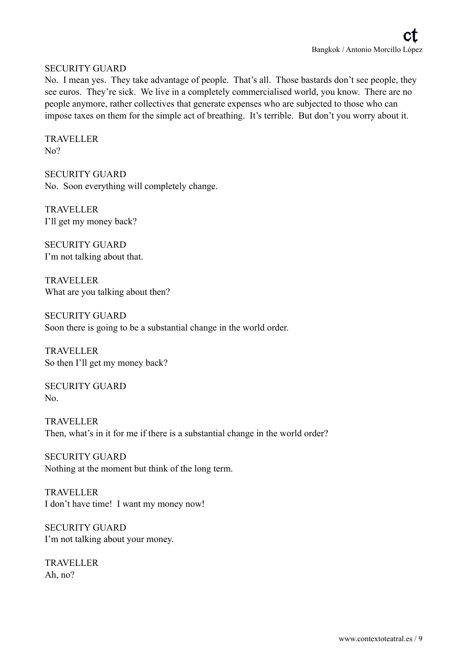## SECURITY GUARD

No. I mean yes. They take advantage of people. That's all. Those bastards don't see people, they see euros. They're sick. We live in a completely commercialised world, you know. There are no people anymore, rather collectives that generate expenses who are subjected to those who can impose taxes on them for the simple act of breathing. It's terrible. But don't you worry about it.

TRAVELLER No?

SECURITY GUARD No. Soon everything will completely change.

TRAVELLER I'll get my money back?

SECURITY GUARD I'm not talking about that.

TRAVELLER What are you talking about then?

SECURITY GUARD Soon there is going to be a substantial change in the world order.

TRAVELLER So then I'll get my money back?

SECURITY GUARD No.

TRAVELLER Then, what's in it for me if there is a substantial change in the world order?

SECURITY GUARD Nothing at the moment but think of the long term.

TRAVELLER I don't have time! I want my money now!

SECURITY GUARD I'm not talking about your money.

TRAVELLER Ah, no?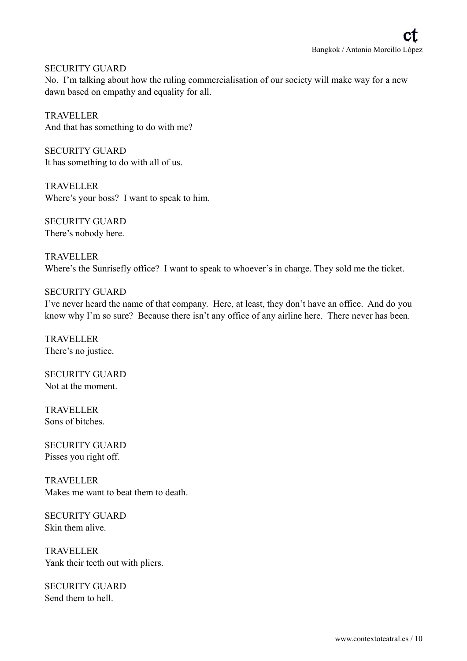SECURITY GUARD

No. I'm talking about how the ruling commercialisation of our society will make way for a new dawn based on empathy and equality for all.

TRAVELLER And that has something to do with me?

SECURITY GUARD It has something to do with all of us.

TRAVELLER Where's your boss? I want to speak to him.

SECURITY GUARD There's nobody here.

TRAVELLER Where's the Sunrisefly office? I want to speak to whoever's in charge. They sold me the ticket.

## SECURITY GUARD

I've never heard the name of that company. Here, at least, they don't have an office. And do you know why I'm so sure? Because there isn't any office of any airline here. There never has been.

TRAVELLER There's no justice.

SECURITY GUARD Not at the moment.

TRAVELLER Sons of bitches.

SECURITY GUARD Pisses you right off.

TRAVELLER Makes me want to beat them to death.

SECURITY GUARD Skin them alive.

TRAVELLER Yank their teeth out with pliers.

SECURITY GUARD Send them to hell.